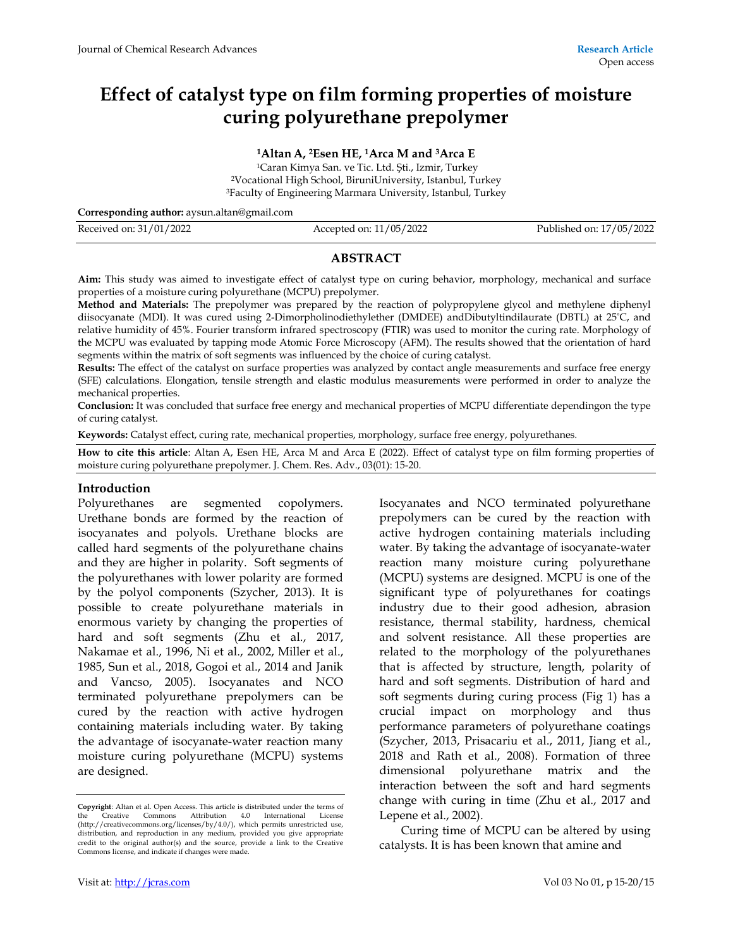# **Effect of catalyst type on film forming properties of moisture curing polyurethane prepolymer**

**<sup>1</sup>Altan A, 2Esen HE, 1Arca M and 3Arca E** 

<sup>1</sup>Caran Kimya San. ve Tic. Ltd. Şti., Izmir, Turkey <sup>2</sup>Vocational High School, BiruniUniversity, Istanbul, Turkey <sup>3</sup>Faculty of Engineering Marmara University, Istanbul, Turkey

**Corresponding author:** aysun.altan@gmail.com

| Received on: 31/01/2022 | Accepted on: 11/05/2022 | Published on: 17/05/2022 |
|-------------------------|-------------------------|--------------------------|
|                         |                         |                          |

## **ABSTRACT**

**Aim:** This study was aimed to investigate effect of catalyst type on curing behavior, morphology, mechanical and surface properties of a moisture curing polyurethane (MCPU) prepolymer.

**Method and Materials:** The prepolymer was prepared by the reaction of polypropylene glycol and methylene diphenyl diisocyanate (MDI). It was cured using 2-Dimorpholinodiethylether (DMDEE) andDibutyltindilaurate (DBTL) at 25°C, and relative humidity of 45%. Fourier transform infrared spectroscopy (FTIR) was used to monitor the curing rate. Morphology of the MCPU was evaluated by tapping mode Atomic Force Microscopy (AFM). The results showed that the orientation of hard segments within the matrix of soft segments was influenced by the choice of curing catalyst.

**Results:** The effect of the catalyst on surface properties was analyzed by contact angle measurements and surface free energy (SFE) calculations. Elongation, tensile strength and elastic modulus measurements were performed in order to analyze the mechanical properties.

**Conclusion:** It was concluded that surface free energy and mechanical properties of MCPU differentiate dependingon the type of curing catalyst.

**Keywords:** Catalyst effect, curing rate, mechanical properties, morphology, surface free energy, polyurethanes*.*

**How to cite this article**: Altan A, Esen HE, Arca M and Arca E (2022). Effect of catalyst type on film forming properties of moisture curing polyurethane prepolymer. J. Chem. Res. Adv., 03(01): 15-20.

#### **Introduction**

Polyurethanes are segmented copolymers. Urethane bonds are formed by the reaction of isocyanates and polyols. Urethane blocks are called hard segments of the polyurethane chains and they are higher in polarity. Soft segments of the polyurethanes with lower polarity are formed by the polyol components (Szycher, 2013). It is possible to create polyurethane materials in enormous variety by changing the properties of hard and soft segments (Zhu et al., 2017, Nakamae et al., 1996, Ni et al., 2002, Miller et al., 1985, Sun et al., 2018, Gogoi et al., 2014 and Janik and Vancso, 2005). Isocyanates and NCO terminated polyurethane prepolymers can be cured by the reaction with active hydrogen containing materials including water. By taking the advantage of isocyanate-water reaction many moisture curing polyurethane (MCPU) systems are designed.

Isocyanates and NCO terminated polyurethane prepolymers can be cured by the reaction with active hydrogen containing materials including water. By taking the advantage of isocyanate-water reaction many moisture curing polyurethane (MCPU) systems are designed. MCPU is one of the significant type of polyurethanes for coatings industry due to their good adhesion, abrasion resistance, thermal stability, hardness, chemical and solvent resistance. All these properties are related to the morphology of the polyurethanes that is affected by structure, length, polarity of hard and soft segments. Distribution of hard and soft segments during curing process (Fig 1) has a crucial impact on morphology and thus performance parameters of polyurethane coatings (Szycher, 2013, Prisacariu et al., 2011, Jiang et al., 2018 and Rath et al., 2008). Formation of three dimensional polyurethane matrix and the interaction between the soft and hard segments change with curing in time (Zhu et al., 2017 and Lepene et al., 2002).

Curing time of MCPU can be altered by using catalysts. It is has been known that amine and

**Copyright**: Altan et al. Open Access. This article is distributed under the terms of the Creative Commons Attribution 4.0 International License (http://creativecommons.org/licenses/by/4.0/), which permits unrestricted use, distribution, and reproduction in any medium, provided you give appropriate credit to the original author(s) and the source, provide a link to the Creative Commons license, and indicate if changes were made.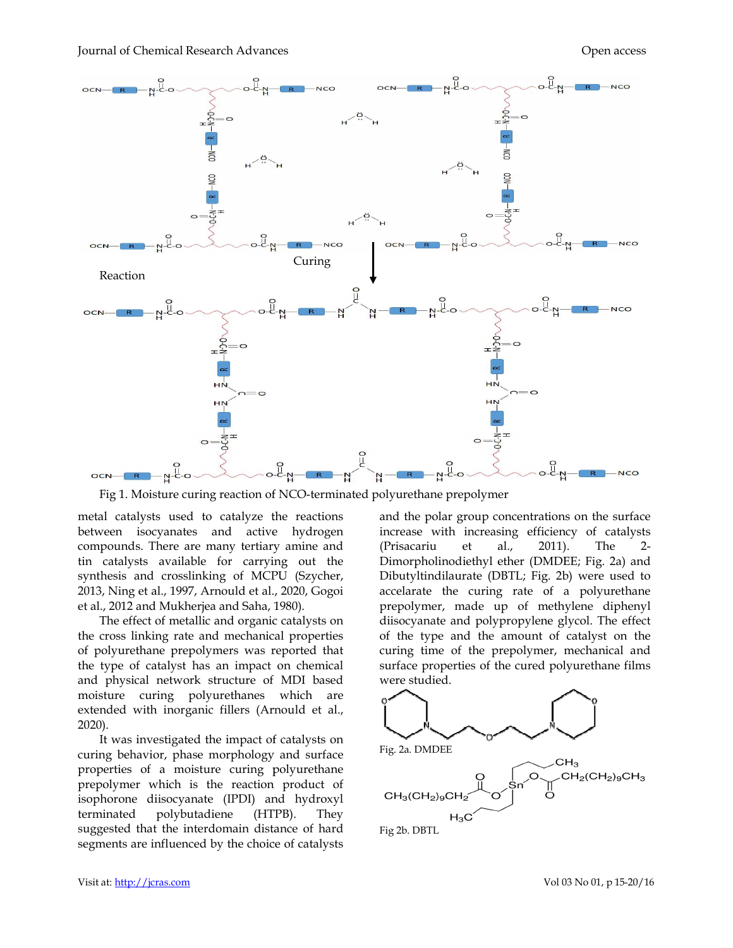

Fig 1. Moisture curing reaction of NCO-terminated polyurethane prepolymer

metal catalysts used to catalyze the reactions between isocyanates and active hydrogen compounds. There are many tertiary amine and tin catalysts available for carrying out the synthesis and crosslinking of MCPU (Szycher, 2013, Ning et al., 1997, Arnould et al., 2020, Gogoi et al., 2012 and Mukherjea and Saha, 1980). , 1980).

The effect of metallic and organic catalysts on the cross linking rate and mechanical properties of polyurethane prepolymers was reported that the type of catalyst has an impact on chemical and physical network structure of MDI based moisture curing polyurethanes which are are extended with inorganic fillers (Arnould Arnould et al., 2020).

It was investigated the impact of catalysts on curing behavior, phase morphology and surface properties of a moisture curing polyurethane polyurethane prepolymer which is the reaction product of isophorone diisocyanate (IPDI) and hydroxyl terminated polybutadiene suggested that the interdomain distance of hard hard segments are influenced by the choice of catalysts (HTPB). They

and the polar group concentrations on the surface increase with increasing efficiency of catalysts (Prisacariu et al., 2011) Dimorpholinodiethyl ether (DMDEE; (DMDEE; Fig. 2a) and Dibutyltindilaurate (DBTL; Fig. Fig. 2b) were used to accelarate the curing rate of a polyurethane prepolymer, made up of methylene diphenyl diisocyanate and polypropylene glycol. The effect of the type and the amount of catalyst on the curing time of the prepolymer, mechanical and surface properties of the cured polyurethane films were studied. and the polar group concentrations on the surface<br>increase with increasing efficiency of catalysts<br>(Prisacariu et al., 2011). The 2a curing rate of a polyu<br>made up of methylene d<br>and polypropylene glycol. Th<br>and the amount of catalyst<br>of the prepolymer, mechani

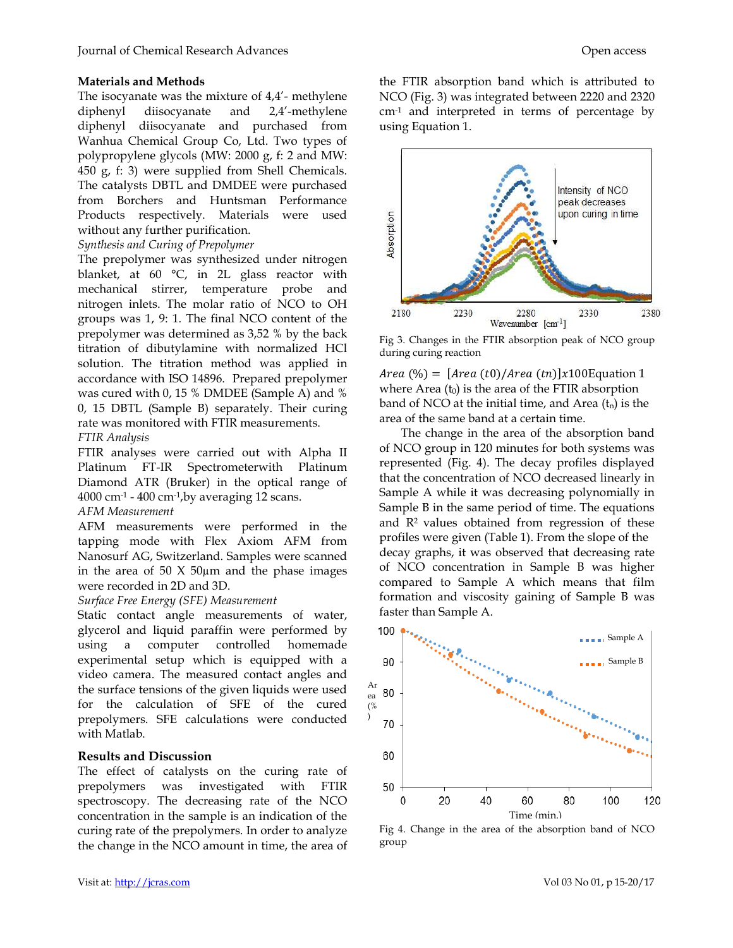## **Materials and Methods**

The isocyanate was the mixture of 4,4'- methylene diphenyl diisocyanate and 2,4'-methylene diphenyl diisocyanate and purchased from Wanhua Chemical Group Co, Ltd. Two types of polypropylene glycols (MW: 2000 g, f: 2 and MW: 450 g, f: 3) were supplied from Shell Chemicals. The catalysts DBTL and DMDEE were purchased from Borchers and Huntsman Performance Products respectively. Materials were used without any further purification.

## *Synthesis and Curing of Prepolymer*

The prepolymer was synthesized under nitrogen blanket, at 60 °C, in 2L glass reactor with mechanical stirrer, temperature probe and nitrogen inlets. The molar ratio of NCO to OH groups was 1, 9: 1. The final NCO content of the prepolymer was determined as 3,52 % by the back titration of dibutylamine with normalized HCl solution. The titration method was applied in accordance with ISO 14896. Prepared prepolymer was cured with 0, 15 % DMDEE (Sample A) and % 0, 15 DBTL (Sample B) separately. Their curing rate was monitored with FTIR measurements.

## *FTIR Analysis*

FTIR analyses were carried out with Alpha II Platinum FT-IR Spectrometerwith Platinum Diamond ATR (Bruker) in the optical range of  $4000$  cm<sup>-1</sup> -  $400$  cm<sup>-1</sup>, by averaging 12 scans.

## *AFM Measurement*

AFM measurements were performed in the tapping mode with Flex Axiom AFM from Nanosurf AG, Switzerland. Samples were scanned in the area of 50  $X$  50 $\mu$ m and the phase images were recorded in 2D and 3D.

## *Surface Free Energy (SFE) Measurement*

Static contact angle measurements of water, glycerol and liquid paraffin were performed by using a computer controlled homemade experimental setup which is equipped with a video camera. The measured contact angles and the surface tensions of the given liquids were used for the calculation of SFE of the cured prepolymers. SFE calculations were conducted with Matlab.

## **Results and Discussion**

The effect of catalysts on the curing rate of prepolymers was investigated with FTIR spectroscopy. The decreasing rate of the NCO concentration in the sample is an indication of the curing rate of the prepolymers. In order to analyze the change in the NCO amount in time, the area of

the FTIR absorption band which is attributed to NCO (Fig. 3) was integrated between 2220 and 2320 cm-1 and interpreted in terms of percentage by using Equation 1.



Fig 3. Changes in the FTIR absorption peak of NCO group during curing reaction

 $Area (\%) = [Area (t0)/Area (tn)]x100$ Equation 1 where Area  $(t_0)$  is the area of the FTIR absorption band of NCO at the initial time, and Area  $(t_n)$  is the area of the same band at a certain time.

The change in the area of the absorption band of NCO group in 120 minutes for both systems was represented (Fig. 4). The decay profiles displayed that the concentration of NCO decreased linearly in Sample A while it was decreasing polynomially in Sample B in the same period of time. The equations and  $\mathbb{R}^2$  values obtained from regression of these profiles were given (Table 1). From the slope of the decay graphs, it was observed that decreasing rate of NCO concentration in Sample B was higher compared to Sample A which means that film formation and viscosity gaining of Sample B was faster than Sample A.



Fig 4. Change in the area of the absorption band of NCO group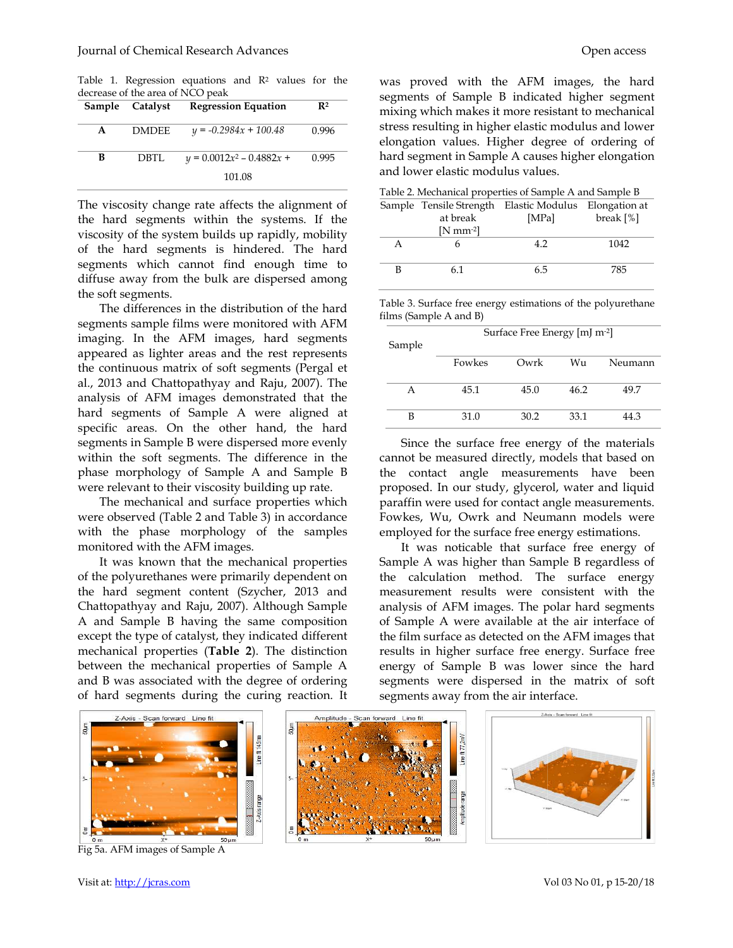Table 1. Regression equations and R<sup>2</sup> values for the decrease of the area of NCO peak

|   | Sample Catalyst | <b>Regression Equation</b>  | $\mathbf{R}^2$ |
|---|-----------------|-----------------------------|----------------|
| A | <b>DMDEE</b>    | $y = -0.2984x + 100.48$     | 0.996          |
| в | DBTL            | $y = 0.0012x^2 - 0.4882x +$ | 0.995          |
|   |                 | 101.08                      |                |

The viscosity change rate affects the alignment of the hard segments within the systems. If the viscosity of the system builds up rapidly, mobility of the hard segments is hindered. The hard segments which cannot find enough time to diffuse away from the bulk are dispersed among the soft segments. viscosity change rate affects the alignment of hard segments within the systems. If the builds up rapidly, mobility he hard segments is hindered. The hard ents which cannot find enough time to use away from the bulk are di

The differences in the distribution of the hard segments sample films were monitored with AFM imaging. In the AFM images, hard segments appeared as lighter areas and the rest represents the continuous matrix of soft segments (Pergal et al., 2013 and Chattopathyay and Raju, 2007). The analysis of AFM images demonstrated that the hard segments of Sample A were aligned at specific areas. On the other hand, the hard specific areas. On the other hand, the hard<br>segments in Sample B were dispersed more evenly within the soft segments. The difference in the phase morphology of Sample A and Sample B were relevant to their viscosity building up rate. First continuous matrix of extinces in the same proved with the AFM images, the hard same is the theoretical interest of Sample N indicated happens and B degree of continuous area of continuous and the matrix points are t

 The mechanical and surface properties which phase morphology of Sample A and Sample B<br>were relevant to their viscosity building up rate.<br>The mechanical and surface properties which<br>were observed (Table 2 and Table 3) in accordance with the phase morphology of the samples monitored with the AFM images.

 It was known that the mechanical properties of the polyurethanes were primarily dependent on It was known that the mechanical properties<br>of the polyurethanes were primarily dependent on<br>the hard segment content (Szycher, 2013 and Chattopathyay and Raju, 2007). Although Sample A and Sample B having the same composition except the type of catalyst, they indicated different mechanical properties (**Table 2**). The distinction between the mechanical properties of Sample A and B was associated with the degree of ordering of hard segments during the curing reaction. It

segments of Sample B indicated higher segment was proved with the AFM images, the hard<br>segments of Sample B indicated higher segment<br>mixing which makes it more resistant to mechanical stress resulting in higher elastic modulus and lower elongation values. Higher degree of ordering of hard segment in Sample A causes higher elongation and lower elastic modulus values. stress resulting in higher elastic modulus<br>elongation values. Higher degree of o<br>hard segment in Sample A causes higher<br>and lower elastic modulus values.

| Table 2. Mechanical properties of Sample A and Sample B |                  |                                                       |              |  |  |  |
|---------------------------------------------------------|------------------|-------------------------------------------------------|--------------|--|--|--|
|                                                         |                  | Sample Tensile Strength Elastic Modulus Elongation at |              |  |  |  |
|                                                         | at break         | [MPa]                                                 | break $[\%]$ |  |  |  |
|                                                         | $[N$ mm $^{-2}]$ |                                                       |              |  |  |  |
|                                                         |                  | 4.2                                                   | 1042         |  |  |  |
|                                                         |                  |                                                       |              |  |  |  |
|                                                         | 61               | 65                                                    | 785          |  |  |  |

Table 3. Surface free energy estimations of the polyurethane films (Sample A and B)

| Sample | Surface Free Energy [mJ m <sup>-2</sup> ] |      |      |         |  |
|--------|-------------------------------------------|------|------|---------|--|
|        | Fowkes                                    | Owrk | Wu   | Neumann |  |
| А      | 45.1                                      | 45.0 | 46.2 | 49.7    |  |
| в      | 31.0                                      | 30.2 | 33.1 | 44.3    |  |

Since the surface free energy of the materials cannot be measured directly, models that based on the contact angle measurements have been proposed. In our study, glycerol, water and liquid paraffin were used for contact angle measurements. Fowkes, Wu, Owrk and Neumann models were employed for the surface free energy estimations. e the surface free energy of the materials<br>e measured directly, models that based on<br>tact angle measurements have been<br>d. In our study, glycerol, water and liquid<br>were used for contact angle measurements.<br>Wu, Owrk and Neum

 It was noticable that surface free energy of Sample A was higher than Sample B regardless of the calculation method. The surface energy measurement results were consistent with the analysis of AFM images. The polar hard segments of Sample A were available at the air interface of the film surface as detected on the AFM images that results in higher surface free energy. Surface free energy of Sample B was lower since the hard segments were dispersed in the matrix of soft segments away from the air interface. Surface Free Energy [mJ m<sup>-2]</sup><br>
Fowkes Owrk Wu Neumann<br>
45.1 45.0 46.2 49.7<br>
31.0 30.2 33.1 44.3<br>
2 the surface free energy of the materials<br>
e measured directly, models that based on<br>
tact angle measurements have been<br>
1



Fig 5a. AFM images of Sample A



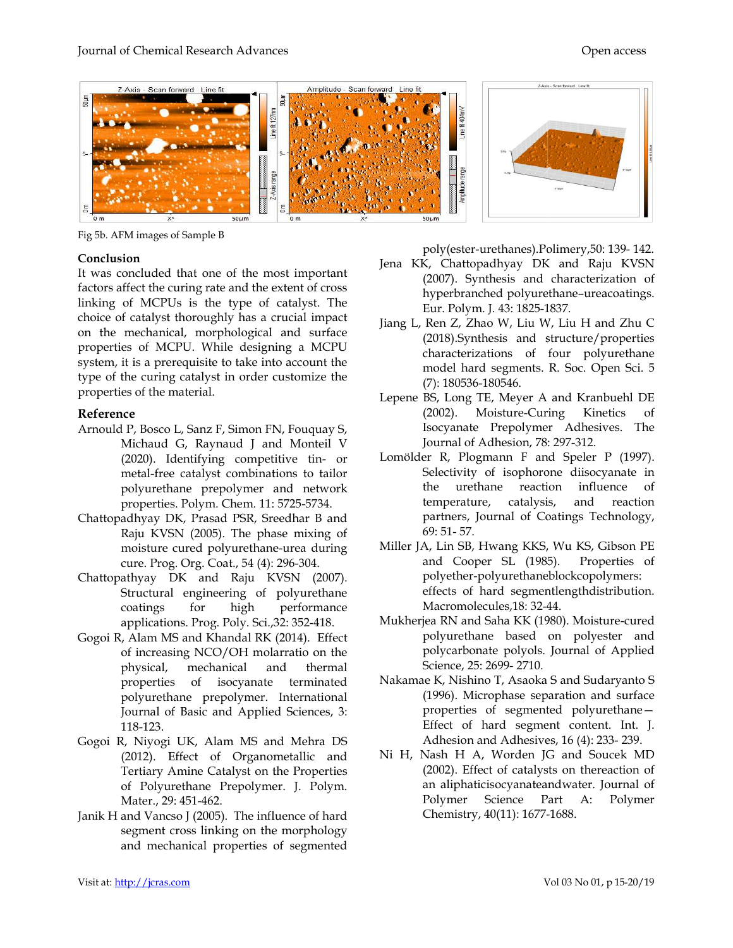

Fig 5b. AFM images of Sample B

## **Conclusion**

It was concluded that one of the most important factors affect the curing rate and the extent of cross linking of MCPUs is the type of catalyst. The choice of catalyst thoroughly has a crucial impact on the mechanical, morphological and surface properties of MCPU. While designing a MCPU system, it is a prerequisite to take into account the type of the curing catalyst in order customize properties of the material. is concluded that one of the most important<br>rs affect the curing rate and the extent of cross<br>ng of MCPUs is the type of catalyst. The<br>e of catalyst thoroughly has a crucial impact<br>he mechanical, morphological and surface<br> ion<br>
incided that one of the most important<br>
reactive CoVD, Synthesia and characterization<br>
of KCt the curing rate and the external of the curing rate and the external of the<br>Science of contages, The contage of contages an

## **Reference**

- Arnould P, Bosco L, Sanz F, Simon FN, Fouquay S, Michaud G, Raynaud J and Monteil V (2020). Identifying competitive tin- or metal-free catalyst combinations to tailor polyurethane prepolymer and network properties. Polym. Chem*.* 11: 5725 free catalyst combinations to tail<br>rethane prepolymer and netwo<br>rties. Polym. Chem. 11: 5725-5734.
- Chattopadhyay DK, Prasad PSR, Sreedhar B and Raju KVSN (2005). The phase mixing of Chattopadhyay DK, Prasad PSR, Sreedhar B and<br>Raju KVSN (2005). The phase mixing of<br>moisture cured polyurethane-urea during cure. Prog. Org. Coat., 54 (4): 296 Org. 296-304.
- Chattopathyay DK and Raju KVSN (2007). Structural engineering of polyurethane coatings for high performance applications. Prog. Poly. Sci.,32: 352 DK and Raju KVSN (2007<br>I engineering of polyurethar<br>for high performan<br>ons. Prog. Poly. Sci.,32: 352-418.
- Gogoi R, Alam MS and Khandal RK (2014). Effect of increasing NCO/OH molarratio on the physical, mechanical and thermal properties of isocyanate terminated of increasing NCO/OH molarratio on the<br>physical, mechanical and thermal<br>properties of isocyanate terminated<br>polyurethane prepolymer. International Journal of Basic and Applied Sciences, 3: 118-123.
- Gogoi R, Niyogi UK, Alam MS and Mehra DS (2012). Effect of Organometallic and Tertiary Amine Catalyst on the Properties of Polyurethane Prepolymer. J. Polym. Mater., 29: 451-462.
- Janik H and Vancso J (2005). The influence of hard segment cross linking on the morphology and mechanical properties of segmented

poly(ester-urethanes).Polimery,50: 139- 142.

- Jena KK, Chattopadhyay DK and Raju KVSN (2007). Synthesis and characterization of hyperbranched polyurethane-ureacoatings. Eur. Polym. J*.* 43: 1825-1837. Jena KK, Chattopadhyay DK and Raju KVSN (2007). Synthesis and characterization of hyperbranched polyurethane–ureacoatings.
- Jiang L, Ren Z, Zhao W, Liu W, Liu H and Zhu C (2018).Synthesis and st characterizations of four polyurethane model hard segments. R. Soc. Open Sci. 5 (7): 180536-180546. Eur. Polym. J. 43: 1825-1837.<br>Ren Z, Zhao W, Liu W, Liu H and Zhu C<br>(2018).Synthesis and structure/properties
- Lepene BS, Long TE, Meyer A and Kranbuehl DE (2002). Moisture-Curing Kinetics of Isocyanate Prepolymer Adhesives. Journal of Adhesion, 78: 297-312. of four polyurethane<br>nts. R. Soc. Open Sci. 5<br>r A and Kranbuehl DE<br>Curing Kinetics of<br>ymer Adhesives. The
- Lomölder R, Plogmann F and Speler P (1997). Selectivity of isophorone diisocyanate in the urethane reaction influence of temperature, catalysis, and reaction partners, Journal of Coatings Technology, 69: 51- 57. Selectivity of isophorone diisocyanate in<br>the urethane reaction influence of<br>temperature, catalysis, and reaction<br>partners, Journal of Coatings Technology,<br>69: 51- 57.<br>A, Lin SB, Hwang KKS, Wu KS, Gibson PE<br>and Cooper SL (
- Miller JA, Lin SB, Hwang KKS, Wu KS, Gibson PE and Cooper SL (1985). polyether-polyurethaneblockcopolymers: polyether-polyurethaneblockcopolymers:<br>effects of hard segmentlengthdistribution. Macromolecules,18: 32-44.
- Mukherjea RN and Saha KK (1980). 44.(1980). Moisture-cured polyurethane based on polyester and polycarbonate polyols. Journal of Applied Science, 25: 2699- 2710.
- Nakamae K, Nishino T, Asaoka S and Sudaryanto S (1996). Microphase separation and surface properties of segmented polyurethane Effect of hard segment content. Int. J. Adhesion and Adhesives, 16 (4): 233- 239. based on polyester and<br>blycarbonate polyols. Journal of Applied<br>ience, 25: 2699- 2710.<br>K, Nishino T, Asaoka S and Sudaryanto S<br>996). Microphase separation and surface<br>operties of segmented polyurethane—
- Ni H, Nash H A, Worden JG and Soucek MD (2002). Effect of catalysts on thereaction of an aliphaticisocyanateandwater. Polymer Science Part A: Polymer Chemistry, 40(11): 1677- -1688. *l*orden JG and Soucek MD<br>of catalysts on thereaction of<br>cyanateandwater. Journal of